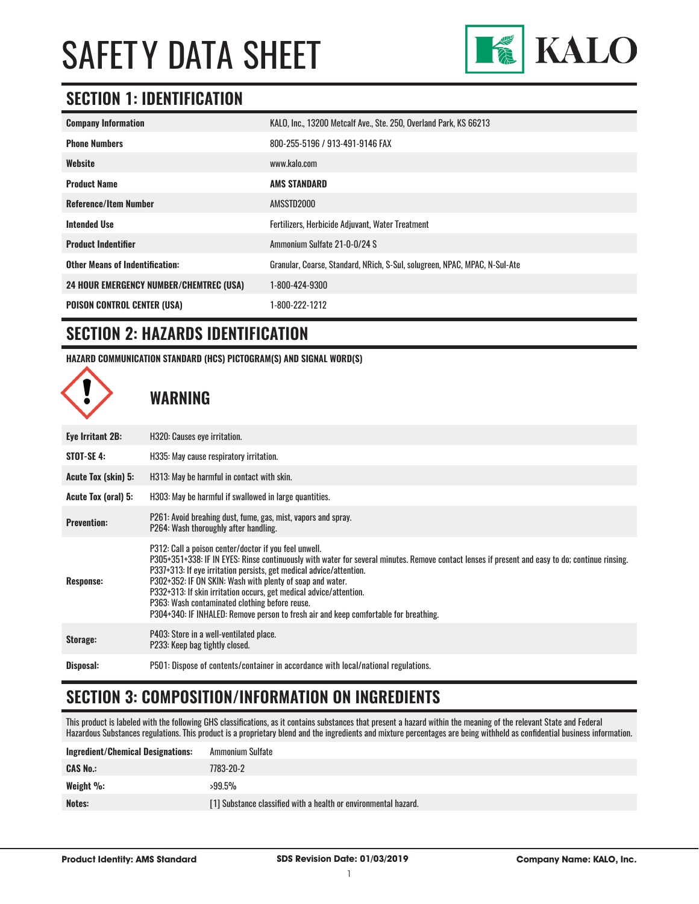

### **SECTION 1: IDENTIFICATION**

| <b>Company Information</b>                     | KALO, Inc., 13200 Metcalf Ave., Ste. 250, Overland Park, KS 66213          |
|------------------------------------------------|----------------------------------------------------------------------------|
| <b>Phone Numbers</b>                           | 800-255-5196 / 913-491-9146 FAX                                            |
| Website                                        | www.kalo.com                                                               |
| <b>Product Name</b>                            | <b>AMS STANDARD</b>                                                        |
| <b>Reference/Item Number</b>                   | AMSSTD2000                                                                 |
| <b>Intended Use</b>                            | Fertilizers, Herbicide Adjuvant, Water Treatment                           |
| <b>Product Indentifier</b>                     | Ammonium Sulfate 21-0-0/24 S                                               |
| <b>Other Means of Indentification:</b>         | Granular, Coarse, Standard, NRich, S-Sul, solugreen, NPAC, MPAC, N-Sul-Ate |
| <b>24 HOUR EMERGENCY NUMBER/CHEMTREC (USA)</b> | 1-800-424-9300                                                             |
| <b>POISON CONTROL CENTER (USA)</b>             | 1-800-222-1212                                                             |

# **SECTION 2: HAZARDS IDENTIFICATION**

**HAZARD COMMUNICATION STANDARD (HCS) PICTOGRAM(S) AND SIGNAL WORD(S)**

**WARNING**

| Eye Irritant 2B:    | H320: Causes eye irritation.                                                                                                                                                                                                                                                                                                                                                                                                                                                                                                                                 |
|---------------------|--------------------------------------------------------------------------------------------------------------------------------------------------------------------------------------------------------------------------------------------------------------------------------------------------------------------------------------------------------------------------------------------------------------------------------------------------------------------------------------------------------------------------------------------------------------|
| STOT-SE 4:          | H335: May cause respiratory irritation.                                                                                                                                                                                                                                                                                                                                                                                                                                                                                                                      |
| Acute Tox (skin) 5: | H313: May be harmful in contact with skin.                                                                                                                                                                                                                                                                                                                                                                                                                                                                                                                   |
| Acute Tox (oral) 5: | H303: May be harmful if swallowed in large quantities.                                                                                                                                                                                                                                                                                                                                                                                                                                                                                                       |
| <b>Prevention:</b>  | P261: Avoid breahing dust, fume, gas, mist, vapors and spray.<br>P264: Wash thoroughly after handling.                                                                                                                                                                                                                                                                                                                                                                                                                                                       |
| <b>Response:</b>    | P312: Call a poison center/doctor if you feel unwell.<br>P305+351+338: IF IN EYES: Rinse continuously with water for several minutes. Remove contact lenses if present and easy to do; continue rinsing.<br>P337+313: If eye irritation persists, get medical advice/attention.<br>P302+352: IF ON SKIN: Wash with plenty of soap and water.<br>P332+313: If skin irritation occurs, get medical advice/attention.<br>P363: Wash contaminated clothing before reuse.<br>P304+340: IF INHALED: Remove person to fresh air and keep comfortable for breathing. |
| Storage:            | P403: Store in a well-ventilated place.<br>P233: Keep bag tightly closed.                                                                                                                                                                                                                                                                                                                                                                                                                                                                                    |
| Disposal:           | P501: Dispose of contents/container in accordance with local/national regulations.                                                                                                                                                                                                                                                                                                                                                                                                                                                                           |

# **SECTION 3: COMPOSITION/INFORMATION ON INGREDIENTS**

This product is labeled with the following GHS classifications, as it contains substances that present a hazard within the meaning of the relevant State and Federal Hazardous Substances regulations. This product is a proprietary blend and the ingredients and mixture percentages are being withheld as confidential business information.

| <b>Ingredient/Chemical Designations:</b> | Ammonium Sulfate                                                |
|------------------------------------------|-----------------------------------------------------------------|
| <b>CAS No.:</b>                          | 7783-20-2                                                       |
| Weight $\%$ :                            | $>99.5\%$                                                       |
| Notes:                                   | [1] Substance classified with a health or environmental hazard. |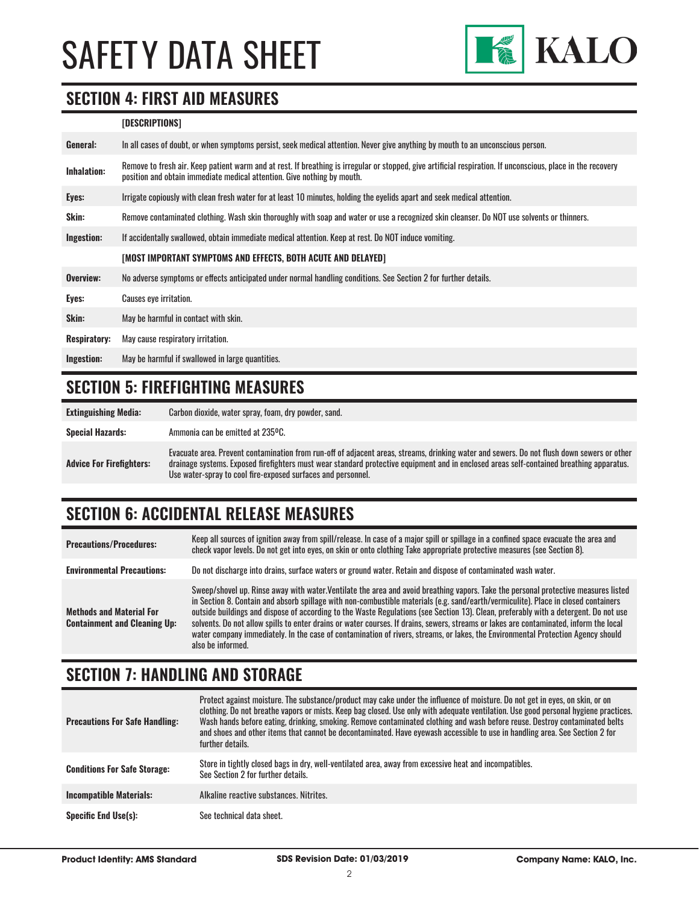

#### **SECTION 4: FIRST AID MEASURES**

#### **[DESCRIPTIONS]**

| General:            | In all cases of doubt, or when symptoms persist, seek medical attention. Never give anything by mouth to an unconscious person.                                                                                                         |  |
|---------------------|-----------------------------------------------------------------------------------------------------------------------------------------------------------------------------------------------------------------------------------------|--|
| <b>Inhalation:</b>  | Remove to fresh air. Keep patient warm and at rest. If breathing is irregular or stopped, give artificial respiration. If unconscious, place in the recovery<br>position and obtain immediate medical attention. Give nothing by mouth. |  |
| Eyes:               | Irrigate copiously with clean fresh water for at least 10 minutes, holding the eyelids apart and seek medical attention.                                                                                                                |  |
| Skin:               | Remove contaminated clothing. Wash skin thoroughly with soap and water or use a recognized skin cleanser. Do NOT use solvents or thinners.                                                                                              |  |
| Ingestion:          | If accidentally swallowed, obtain immediate medical attention. Keep at rest. Do NOT induce vomiting.                                                                                                                                    |  |
|                     | [MOST IMPORTANT SYMPTOMS AND EFFECTS, BOTH ACUTE AND DELAYED]                                                                                                                                                                           |  |
| Overview:           | No adverse symptoms or effects anticipated under normal handling conditions. See Section 2 for further details.                                                                                                                         |  |
| Eyes:               | <b>Causes eye irritation.</b>                                                                                                                                                                                                           |  |
| Skin:               | May be harmful in contact with skin.                                                                                                                                                                                                    |  |
| <b>Respiratory:</b> | May cause respiratory irritation.                                                                                                                                                                                                       |  |
| Ingestion:          | May be harmful if swallowed in large quantities.                                                                                                                                                                                        |  |

### **SECTION 5: FIREFIGHTING MEASURES**

| <b>Extinguishing Media:</b>     | Carbon dioxide, water spray, foam, dry powder, sand.                                                                                                                                                                                                                                                                                                   |
|---------------------------------|--------------------------------------------------------------------------------------------------------------------------------------------------------------------------------------------------------------------------------------------------------------------------------------------------------------------------------------------------------|
| <b>Special Hazards:</b>         | Ammonia can be emitted at 235°C.                                                                                                                                                                                                                                                                                                                       |
| <b>Advice For Firefighters:</b> | Evacuate area. Prevent contamination from run-off of adjacent areas, streams, drinking water and sewers. Do not flush down sewers or other<br>drainage systems. Exposed firefighters must wear standard protective equipment and in enclosed areas self-contained breathing apparatus.<br>Use water-spray to cool fire-exposed surfaces and personnel. |

# **SECTION 6: ACCIDENTAL RELEASE MEASURES**

| <b>Precautions/Procedures:</b>                                         | Keep all sources of ignition away from spill/release. In case of a major spill or spillage in a confined space evacuate the area and<br>check vapor levels. Do not get into eyes, on skin or onto clothing Take appropriate protective measures (see Section 8).                                                                                                                                                                                                                                                                                                                                                                                                                                                    |
|------------------------------------------------------------------------|---------------------------------------------------------------------------------------------------------------------------------------------------------------------------------------------------------------------------------------------------------------------------------------------------------------------------------------------------------------------------------------------------------------------------------------------------------------------------------------------------------------------------------------------------------------------------------------------------------------------------------------------------------------------------------------------------------------------|
| <b>Environmental Precautions:</b>                                      | Do not discharge into drains, surface waters or ground water. Retain and dispose of contaminated wash water.                                                                                                                                                                                                                                                                                                                                                                                                                                                                                                                                                                                                        |
| <b>Methods and Material For</b><br><b>Containment and Cleaning Up:</b> | Sweep/shovel up. Rinse away with water.Ventilate the area and avoid breathing vapors. Take the personal protective measures listed<br>in Section 8. Contain and absorb spillage with non-combustible materials (e.g. sand/earth/vermiculite). Place in closed containers<br>outside buildings and dispose of according to the Waste Regulations (see Section 13). Clean, preferably with a detergent. Do not use<br>solvents. Do not allow spills to enter drains or water courses. If drains, sewers, streams or lakes are contaminated, inform the local<br>water company immediately. In the case of contamination of rivers, streams, or lakes, the Environmental Protection Agency should<br>also he informed. |

#### **SECTION 7: HANDLING AND STORAGE**

| <b>Precautions For Safe Handling:</b> | Protect against moisture. The substance/product may cake under the influence of moisture. Do not get in eyes, on skin, or on<br>clothing. Do not breathe vapors or mists. Keep bag closed. Use only with adequate ventilation. Use good personal hygiene practices.<br>Wash hands before eating, drinking, smoking. Remove contaminated clothing and wash before reuse. Destroy contaminated belts<br>and shoes and other items that cannot be decontaminated. Have eyewash accessible to use in handling area. See Section 2 for<br>further details. |
|---------------------------------------|-------------------------------------------------------------------------------------------------------------------------------------------------------------------------------------------------------------------------------------------------------------------------------------------------------------------------------------------------------------------------------------------------------------------------------------------------------------------------------------------------------------------------------------------------------|
| <b>Conditions For Safe Storage:</b>   | Store in tightly closed bags in dry, well-ventilated area, away from excessive heat and incompatibles.<br>See Section 2 for further details.                                                                                                                                                                                                                                                                                                                                                                                                          |
| <b>Incompatible Materials:</b>        | Alkaline reactive substances. Nitrites.                                                                                                                                                                                                                                                                                                                                                                                                                                                                                                               |
| <b>Specific End Use(s):</b>           | See technical data sheet.                                                                                                                                                                                                                                                                                                                                                                                                                                                                                                                             |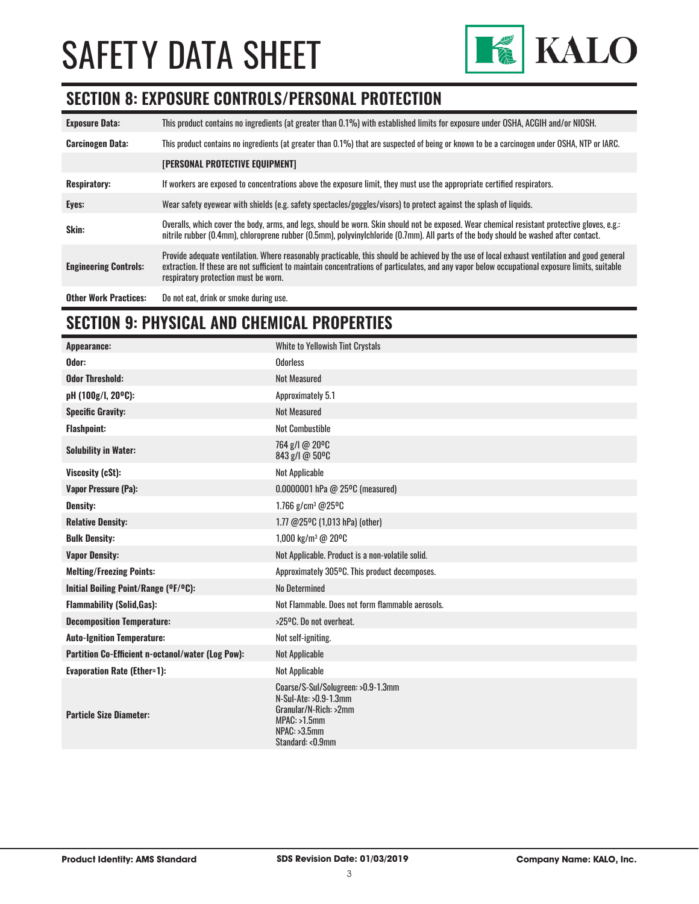

#### **SECTION 8: EXPOSURE CONTROLS/PERSONAL PROTECTION**

| <b>Exposure Data:</b>        | This product contains no ingredients (at greater than 0.1%) with established limits for exposure under OSHA, ACGIH and/or NIOSH.                                                                                                                                                                                                       |
|------------------------------|----------------------------------------------------------------------------------------------------------------------------------------------------------------------------------------------------------------------------------------------------------------------------------------------------------------------------------------|
| <b>Carcinogen Data:</b>      | This product contains no ingredients (at greater than 0.1%) that are suspected of being or known to be a carcinogen under OSHA, NTP or IARC.                                                                                                                                                                                           |
|                              | [PERSONAL PROTECTIVE EQUIPMENT]                                                                                                                                                                                                                                                                                                        |
| <b>Respiratory:</b>          | If workers are exposed to concentrations above the exposure limit, they must use the appropriate certified respirators.                                                                                                                                                                                                                |
| Eyes:                        | Wear safety eyewear with shields (e.g. safety spectacles/goggles/visors) to protect against the splash of liquids.                                                                                                                                                                                                                     |
| Skin:                        | Overalls, which cover the body, arms, and legs, should be worn. Skin should not be exposed. Wear chemical resistant protective gloves, e.g.:<br>nitrile rubber (0.4mm), chloroprene rubber (0.5mm), polyvinylchloride (0.7mm). All parts of the body should be washed after contact.                                                   |
| <b>Engineering Controls:</b> | Provide adequate ventilation. Where reasonably practicable, this should be achieved by the use of local exhaust ventilation and good general<br>extraction. If these are not sufficient to maintain concentrations of particulates, and any vapor below occupational exposure limits, suitable<br>respiratory protection must be worn. |
| <b>Other Work Practices:</b> | Do not eat, drink or smoke during use.                                                                                                                                                                                                                                                                                                 |

# **SECTION 9: PHYSICAL AND CHEMICAL PROPERTIES**

| Appearance:                                       | White to Yellowish Tint Crystals                                                                                                            |
|---------------------------------------------------|---------------------------------------------------------------------------------------------------------------------------------------------|
| Odor:                                             | <b>Odorless</b>                                                                                                                             |
| <b>Odor Threshold:</b>                            | <b>Not Measured</b>                                                                                                                         |
| pH (100g/l, 20°C):                                | Approximately 5.1                                                                                                                           |
| <b>Specific Gravity:</b>                          | <b>Not Measured</b>                                                                                                                         |
| <b>Flashpoint:</b>                                | <b>Not Combustible</b>                                                                                                                      |
| <b>Solubility in Water:</b>                       | 764 g/l @ 20°C<br>843 g/l @ 50°C                                                                                                            |
| Viscosity (cSt):                                  | Not Applicable                                                                                                                              |
| <b>Vapor Pressure (Pa):</b>                       | $0.0000001$ hPa @ 25°C (measured)                                                                                                           |
| Density:                                          | 1.766 $g/cm^3$ @25°C                                                                                                                        |
| <b>Relative Density:</b>                          | 1.77 @25°C (1,013 hPa) (other)                                                                                                              |
| <b>Bulk Density:</b>                              | 1,000 kg/m <sup>3</sup> @ 20 <sup>o</sup> C                                                                                                 |
| <b>Vapor Density:</b>                             | Not Applicable. Product is a non-volatile solid.                                                                                            |
| <b>Melting/Freezing Points:</b>                   | Approximately 305°C. This product decomposes.                                                                                               |
| Initial Boiling Point/Range (°F/°C):              | <b>No Determined</b>                                                                                                                        |
| <b>Flammability (Solid, Gas):</b>                 | Not Flammable. Does not form flammable aerosols.                                                                                            |
| <b>Decomposition Temperature:</b>                 | >25°C. Do not overheat.                                                                                                                     |
| <b>Auto-Ignition Temperature:</b>                 | Not self-igniting.                                                                                                                          |
| Partition Co-Efficient n-octanol/water (Log Pow): | Not Applicable                                                                                                                              |
| <b>Evaporation Rate (Ether=1):</b>                | Not Applicable                                                                                                                              |
| <b>Particle Size Diameter:</b>                    | Coarse/S-Sul/Solugreen: >0.9-1.3mm<br>N-Sul-Ate: >0.9-1.3mm<br>Granular/N-Rich: >2mm<br>$MPAC: >1.5$ mm<br>NPAC: >3.5mm<br>Standard: <0.9mm |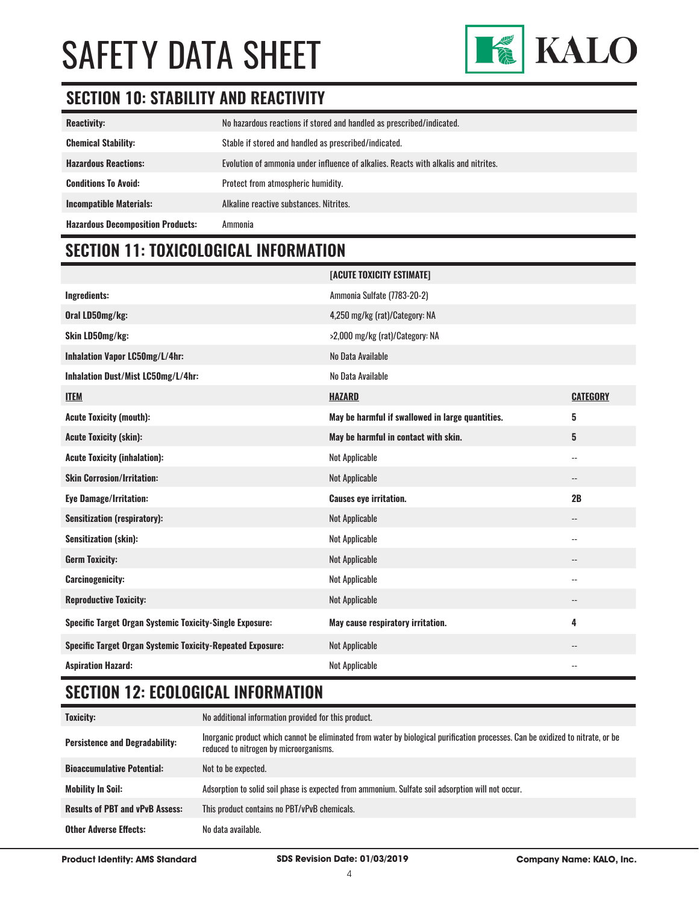

# **SECTION 10: STABILITY AND REACTIVITY**

| <b>Reactivity:</b>                       | No hazardous reactions if stored and handled as prescribed/indicated.               |
|------------------------------------------|-------------------------------------------------------------------------------------|
| <b>Chemical Stability:</b>               | Stable if stored and handled as prescribed/indicated.                               |
| <b>Hazardous Reactions:</b>              | Evolution of ammonia under influence of alkalies. Reacts with alkalis and nitrites. |
| <b>Conditions To Avoid:</b>              | Protect from atmospheric humidity.                                                  |
| <b>Incompatible Materials:</b>           | Alkaline reactive substances. Nitrites.                                             |
| <b>Hazardous Decomposition Products:</b> | Ammonia                                                                             |

### **SECTION 11: TOXICOLOGICAL INFORMATION**

|                                                                   | [ACUTE TOXICITY ESTIMATE]                        |                          |
|-------------------------------------------------------------------|--------------------------------------------------|--------------------------|
| <b>Ingredients:</b>                                               | Ammonia Sulfate (7783-20-2)                      |                          |
| Oral LD50mg/kg:                                                   | 4,250 mg/kg (rat)/Category: NA                   |                          |
| Skin LD50mg/kg:                                                   | >2,000 mg/kg (rat)/Category: NA                  |                          |
| Inhalation Vapor LC50mg/L/4hr:                                    | No Data Available                                |                          |
| Inhalation Dust/Mist LC50mg/L/4hr:                                | No Data Available                                |                          |
| <b>ITEM</b>                                                       | <b>HAZARD</b>                                    | <b>CATEGORY</b>          |
| <b>Acute Toxicity (mouth):</b>                                    | May be harmful if swallowed in large quantities. | 5                        |
| <b>Acute Toxicity (skin):</b>                                     | May be harmful in contact with skin.             | 5                        |
| <b>Acute Toxicity (inhalation):</b>                               | Not Applicable                                   | $\overline{\phantom{a}}$ |
| <b>Skin Corrosion/Irritation:</b>                                 | Not Applicable                                   | --                       |
| <b>Eye Damage/Irritation:</b>                                     | <b>Causes eye irritation.</b>                    | 2B                       |
| <b>Sensitization (respiratory):</b>                               | Not Applicable                                   | $\overline{\phantom{a}}$ |
| Sensitization (skin):                                             | Not Applicable                                   | $\overline{\phantom{a}}$ |
| <b>Germ Toxicity:</b>                                             | Not Applicable                                   | $\qquad \qquad -$        |
| <b>Carcinogenicity:</b>                                           | Not Applicable                                   | $-$                      |
| <b>Reproductive Toxicity:</b>                                     | Not Applicable                                   | $\qquad \qquad -$        |
| Specific Target Organ Systemic Toxicity-Single Exposure:          | May cause respiratory irritation.                | 4                        |
| <b>Specific Target Organ Systemic Toxicity-Repeated Exposure:</b> | Not Applicable                                   | $\qquad \qquad -$        |
| <b>Aspiration Hazard:</b>                                         | <b>Not Applicable</b>                            | $-$                      |

### **SECTION 12: ECOLOGICAL INFORMATION**

| <b>Toxicity:</b>                       | No additional information provided for this product.                                                                                                                      |
|----------------------------------------|---------------------------------------------------------------------------------------------------------------------------------------------------------------------------|
| <b>Persistence and Degradability:</b>  | Inorganic product which cannot be eliminated from water by biological purification processes. Can be oxidized to nitrate, or be<br>reduced to nitrogen by microorganisms. |
| <b>Bioaccumulative Potential:</b>      | Not to be expected.                                                                                                                                                       |
| <b>Mobility In Soil:</b>               | Adsorption to solid soil phase is expected from ammonium. Sulfate soil adsorption will not occur.                                                                         |
| <b>Results of PBT and vPvB Assess:</b> | This product contains no PBT/vPvB chemicals.                                                                                                                              |
| <b>Other Adverse Effects:</b>          | No data available.                                                                                                                                                        |